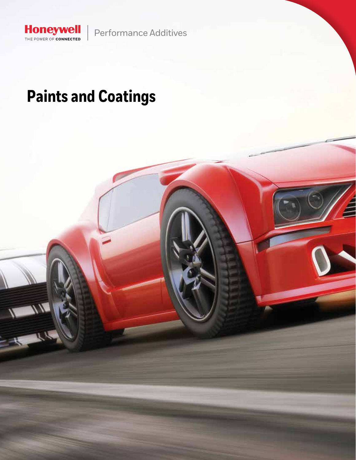Performance Additives

## **Paints and Coatings**

Honeywell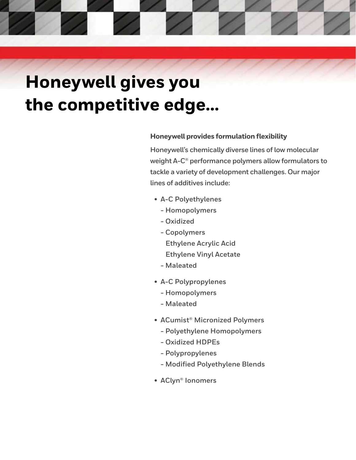# **Honeywell gives you the competitive edge…**

### **Honeywell provides formulation flexibility**

**Honeywell's chemically diverse lines of low molecular weight A-C® performance polymers allow formulators to tackle a variety of development challenges. Our major lines of additives include:**

- **• A-C Polyethylenes**
	- **Homopolymers**
	- **Oxidized**
	- **Copolymers**
		- **Ethylene Acrylic Acid**
		- **Ethylene Vinyl Acetate**
	- **Maleated**
- **• A-C Polypropylenes**
	- **Homopolymers**
	- **Maleated**
- **• ACumist® Micronized Polymers**
	- **Polyethylene Homopolymers**
	- **Oxidized HDPEs**
	- **Polypropylenes**
	- **Modified Polyethylene Blends**
- **• AClyn® Ionomers**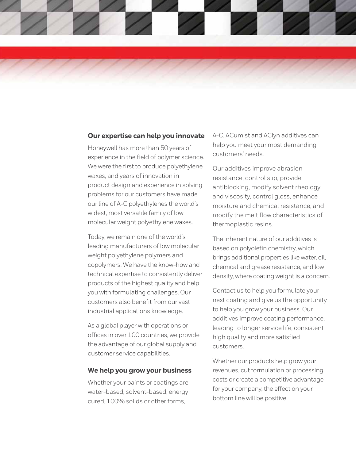

#### **Our expertise can help you innovate**

Honeywell has more than 50 years of experience in the field of polymer science. We were the first to produce polyethylene waxes, and years of innovation in product design and experience in solving problems for our customers have made our line of A-C polyethylenes the world's widest, most versatile family of low molecular weight polyethylene waxes.

Today, we remain one of the world's leading manufacturers of low molecular weight polyethylene polymers and copolymers. We have the know-how and technical expertise to consistently deliver products of the highest quality and help you with formulating challenges. Our customers also benefit from our vast industrial applications knowledge.

As a global player with operations or offices in over 100 countries, we provide the advantage of our global supply and customer service capabilities.

#### **We help you grow your business**

Whether your paints or coatings are water-based, solvent-based, energy cured, 100% solids or other forms,

A-C, ACumist and AClyn additives can help you meet your most demanding customers' needs.

Our additives improve abrasion resistance, control slip, provide antiblocking, modify solvent rheology and viscosity, control gloss, enhance moisture and chemical resistance, and modify the melt flow characteristics of thermoplastic resins.

The inherent nature of our additives is based on polyolefin chemistry, which brings additional properties like water, oil, chemical and grease resistance, and low density, where coating weight is a concern.

Contact us to help you formulate your next coating and give us the opportunity to help you grow your business. Our additives improve coating performance, leading to longer service life, consistent high quality and more satisfied customers.

Whether our products help grow your revenues, cut formulation or processing costs or create a competitive advantage for your company, the effect on your bottom line will be positive.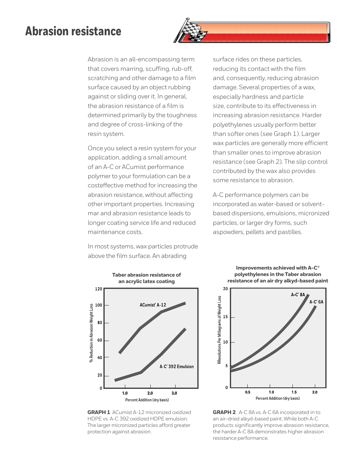### **Abrasion resistance**



Abrasion is an all-encompassing term that covers marring, scuffing, rub-off, scratching and other damage to a film surface caused by an object rubbing against or sliding over it. In general, the abrasion resistance of a film is determined primarily by the toughness and degree of cross-linking of the resin system.

Once you select a resin system for your application, adding a small amount of an A-C or ACumist performance polymer to your formulation can be a costeffective method for increasing the abrasion resistance, without affecting other important properties. Increasing mar and abrasion resistance leads to longer coating service life and reduced maintenance costs.

In most systems, wax particles protrude above the film surface. An abrading



**GRAPH 1** ACumist A-12 micronized oxidized HDPE vs. A-C 392 oxidized HDPE emulsion. The larger micronized particles afford greater protection against abrasion.

surface rides on these particles, reducing its contact with the film and, consequently, reducing abrasion damage. Several properties of a wax, especially hardness and particle size, contribute to its effectiveness in increasing abrasion resistance. Harder polyethylenes usually perform better than softer ones (see Graph 1). Larger wax particles are generally more efficient than smaller ones to improve abrasion resistance (see Graph 2). The slip control contributed by the wax also provides some resistance to abrasion.

A-C performance polymers can be incorporated as water-based or solventbased dispersions, emulsions, micronized particles, or larger dry forms, such aspowders, pellets and pastilles.

> **Improvements achieved with A-C® polyethylenes in the Taber abrasion resistance of an air dry alkyd-based paint**



**GRAPH 2** A-C 8A vs. A-C 6A incorporated in to an air-dried alkyd-based paint. While both A-C products significantly improve abrasion resistance, the harder A-C 8A demonstrates higher abrasion resistance performance.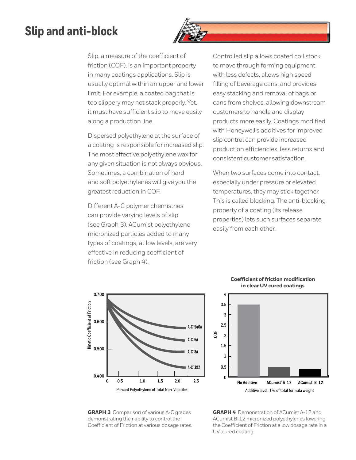### **Slip and anti-block**



Slip, a measure of the coefficient of friction (COF), is an important property in many coatings applications. Slip is usually optimal within an upper and lower limit. For example, a coated bag that is too slippery may not stack properly. Yet, it must have sufficient slip to move easily along a production line.

Dispersed polyethylene at the surface of a coating is responsible for increased slip. The most effective polyethylene wax for any given situation is not always obvious. Sometimes, a combination of hard and soft polyethylenes will give you the greatest reduction in COF.

Different A-C polymer chemistries can provide varying levels of slip (see Graph 3). ACumist polyethylene micronized particles added to many types of coatings, at low levels, are very effective in reducing coefficient of friction (see Graph 4).

Controlled slip allows coated coil stock to move through forming equipment with less defects, allows high speed filling of beverage cans, and provides easy stacking and removal of bags or cans from shelves, allowing downstream customers to handle and display products more easily. Coatings modified with Honeywell's additives for improved slip control can provide increased production efficiencies, less returns and consistent customer satisfaction.

When two surfaces come into contact. especially under pressure or elevated temperatures, they may stick together. This is called blocking. The anti-blocking property of a coating (its release properties) lets such surfaces separate easily from each other.



#### **Coefficient of friction modification in clear UV cured coatings**



**GRAPH 3** Comparison of various A-C grades demonstrating their ability to control the Coefficient of Friction at various dosage rates.

**GRAPH 4** Demonstration of ACumist A-12 and ACumist B-12 micronized polyethylenes lowering the Coefficient of Friction at a low dosage rate in a UV-cured coating.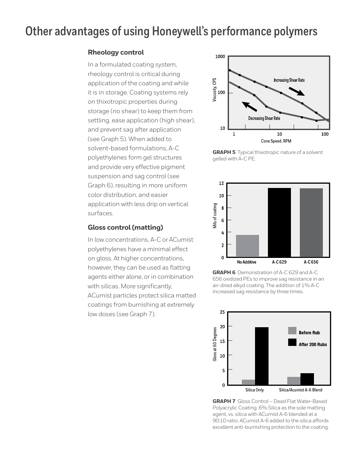### **Other advantages of using Honeywell's performance polymers**

### **Rheology control**

In a formulated coating system, rheology control is critical during application of the coating and while it is in storage. Coating systems rely on thixotropic properties during storage (no shear) to keep them from settling, ease application (high shear), and prevent sag after application (see Graph 5). When added to solvent-based formulations, A-C polyethylenes form gel structures and provide very effective pigment suspension and sag control (see Graph 6), resulting in more uniform color distribution, and easier application with less drip on vertical surfaces.

### **Gloss control (matting)**

In low concentrations, A-C or ACumist polyethylenes have a minimal effect on gloss. At higher concentrations, however, they can be used as flatting agents either alone, or in combination with silicas. More significantly, ACumist particles protect silica matted coatings from burnishing at extremely low doses (see Graph 7).



**GRAPH 5** Typical thixotropic nature of a solvent gelled with A-C PE.



**GRAPH 6** Demonstration of A-C 629 and A-C 656 oxidized PEs to improve sag resistance in an air-dried alkyd coating. The addition of 1% A-C increased sag resistance by three times.



**GRAPH 7** Gloss Control – Dead Flat Water-Based Polyacrylic Coating. 6% Silica as the sole matting agent, vs. silica with ACumist A-6 blended at a 90:10 ratio. ACumist A-6 added to the silica affords excellent anti-burnishing protection to the coating.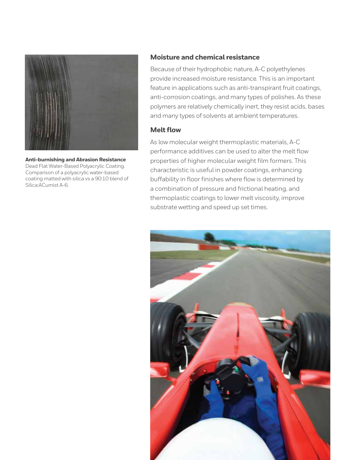

**Anti-burnishing and Abrasion Resistance**  Dead Flat Water-Based Polyacrylic Coating. Comparison of a polyacrylic water-based coating matted with silica vs a 90:10 blend of Silica:ACumist A-6.

### **Moisture and chemical resistance**

Because of their hydrophobic nature, A-C polyethylenes provide increased moisture resistance. This is an important feature in applications such as anti-transpirant fruit coatings, anti-corrosion coatings, and many types of polishes. As these polymers are relatively chemically inert, they resist acids, bases and many types of solvents at ambient temperatures.

#### **Melt flow**

As low molecular weight thermoplastic materials, A-C performance additives can be used to alter the melt flow properties of higher molecular weight film formers. This characteristic is useful in powder coatings, enhancing buffability in floor finishes where flow is determined by a combination of pressure and frictional heating, and thermoplastic coatings to lower melt viscosity, improve substrate wetting and speed up set times.